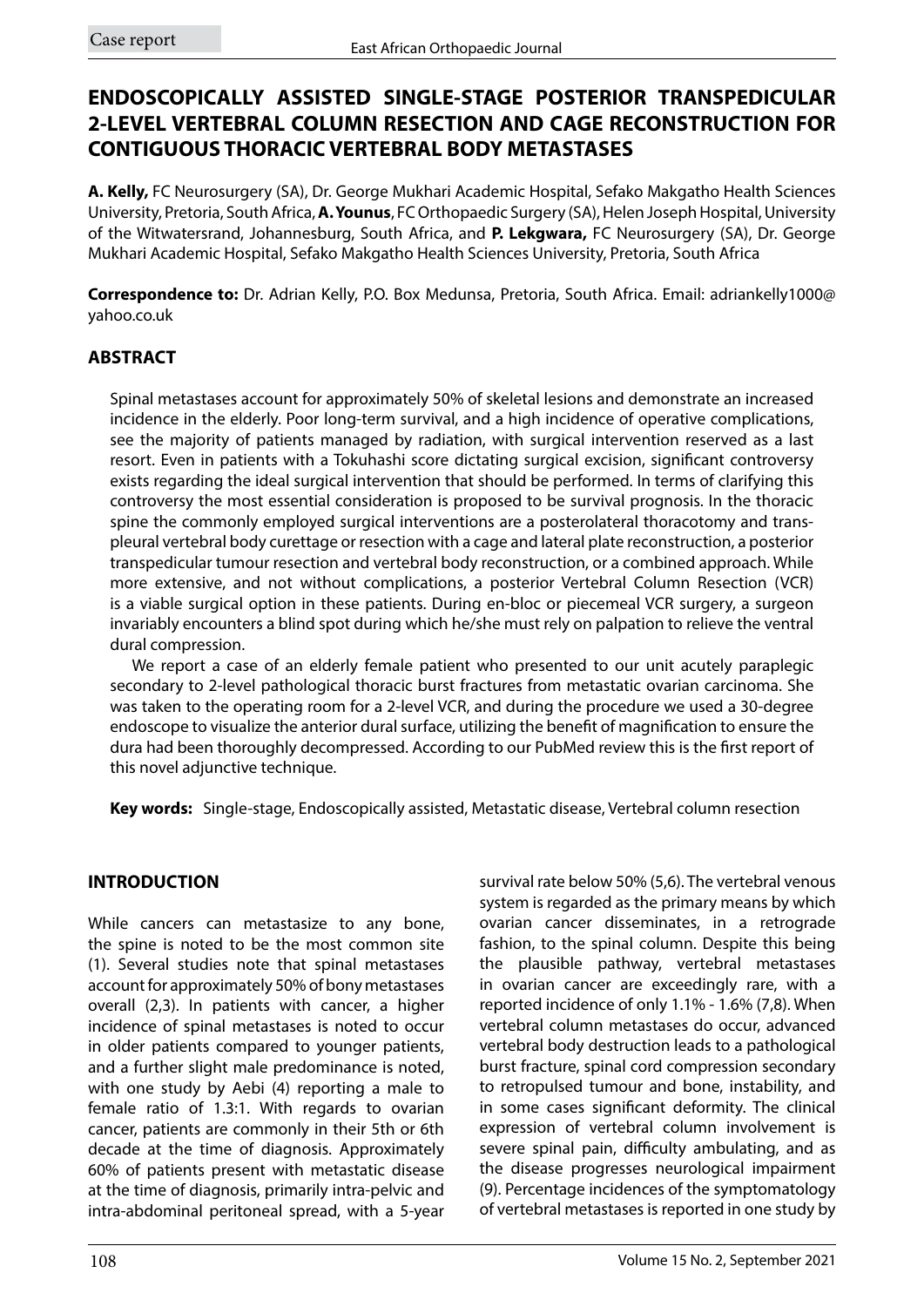# **ENDOSCOPICALLY ASSISTED SINGLE-STAGE POSTERIOR TRANSPEDICULAR 2-LEVEL VERTEBRAL COLUMN RESECTION AND CAGE RECONSTRUCTION FOR CONTIGUOUS THORACIC VERTEBRAL BODY METASTASES**

**A. Kelly,** FC Neurosurgery (SA), Dr. George Mukhari Academic Hospital, Sefako Makgatho Health Sciences University, Pretoria, South Africa, **A. Younus**, FC Orthopaedic Surgery (SA), Helen Joseph Hospital, University of the Witwatersrand, Johannesburg, South Africa, and **P. Lekgwara,** FC Neurosurgery (SA), Dr. George Mukhari Academic Hospital, Sefako Makgatho Health Sciences University, Pretoria, South Africa

**Correspondence to:** Dr. Adrian Kelly, P.O. Box Medunsa, Pretoria, South Africa. Email: adriankelly1000@ yahoo.co.uk

### **ABSTRACT**

Spinal metastases account for approximately 50% of skeletal lesions and demonstrate an increased incidence in the elderly. Poor long-term survival, and a high incidence of operative complications, see the majority of patients managed by radiation, with surgical intervention reserved as a last resort. Even in patients with a Tokuhashi score dictating surgical excision, significant controversy exists regarding the ideal surgical intervention that should be performed. In terms of clarifying this controversy the most essential consideration is proposed to be survival prognosis. In the thoracic spine the commonly employed surgical interventions are a posterolateral thoracotomy and transpleural vertebral body curettage or resection with a cage and lateral plate reconstruction, a posterior transpedicular tumour resection and vertebral body reconstruction, or a combined approach. While more extensive, and not without complications, a posterior Vertebral Column Resection (VCR) is a viable surgical option in these patients. During en-bloc or piecemeal VCR surgery, a surgeon invariably encounters a blind spot during which he/she must rely on palpation to relieve the ventral dural compression.

We report a case of an elderly female patient who presented to our unit acutely paraplegic secondary to 2-level pathological thoracic burst fractures from metastatic ovarian carcinoma. She was taken to the operating room for a 2-level VCR, and during the procedure we used a 30-degree endoscope to visualize the anterior dural surface, utilizing the benefit of magnification to ensure the dura had been thoroughly decompressed. According to our PubMed review this is the first report of this novel adjunctive technique.

**Key words:** Single-stage, Endoscopically assisted, Metastatic disease, Vertebral column resection

### **INTRODUCTION**

While cancers can metastasize to any bone, the spine is noted to be the most common site (1). Several studies note that spinal metastases account for approximately 50% of bony metastases overall (2,3). In patients with cancer, a higher incidence of spinal metastases is noted to occur in older patients compared to younger patients, and a further slight male predominance is noted, with one study by Aebi (4) reporting a male to female ratio of 1.3:1. With regards to ovarian cancer, patients are commonly in their 5th or 6th decade at the time of diagnosis. Approximately 60% of patients present with metastatic disease at the time of diagnosis, primarily intra-pelvic and intra-abdominal peritoneal spread, with a 5-year

survival rate below 50% (5,6). The vertebral venous system is regarded as the primary means by which ovarian cancer disseminates, in a retrograde fashion, to the spinal column. Despite this being the plausible pathway, vertebral metastases in ovarian cancer are exceedingly rare, with a reported incidence of only 1.1% - 1.6% (7,8). When vertebral column metastases do occur, advanced vertebral body destruction leads to a pathological burst fracture, spinal cord compression secondary to retropulsed tumour and bone, instability, and in some cases significant deformity. The clinical expression of vertebral column involvement is severe spinal pain, difficulty ambulating, and as the disease progresses neurological impairment (9). Percentage incidences of the symptomatology of vertebral metastases is reported in one study by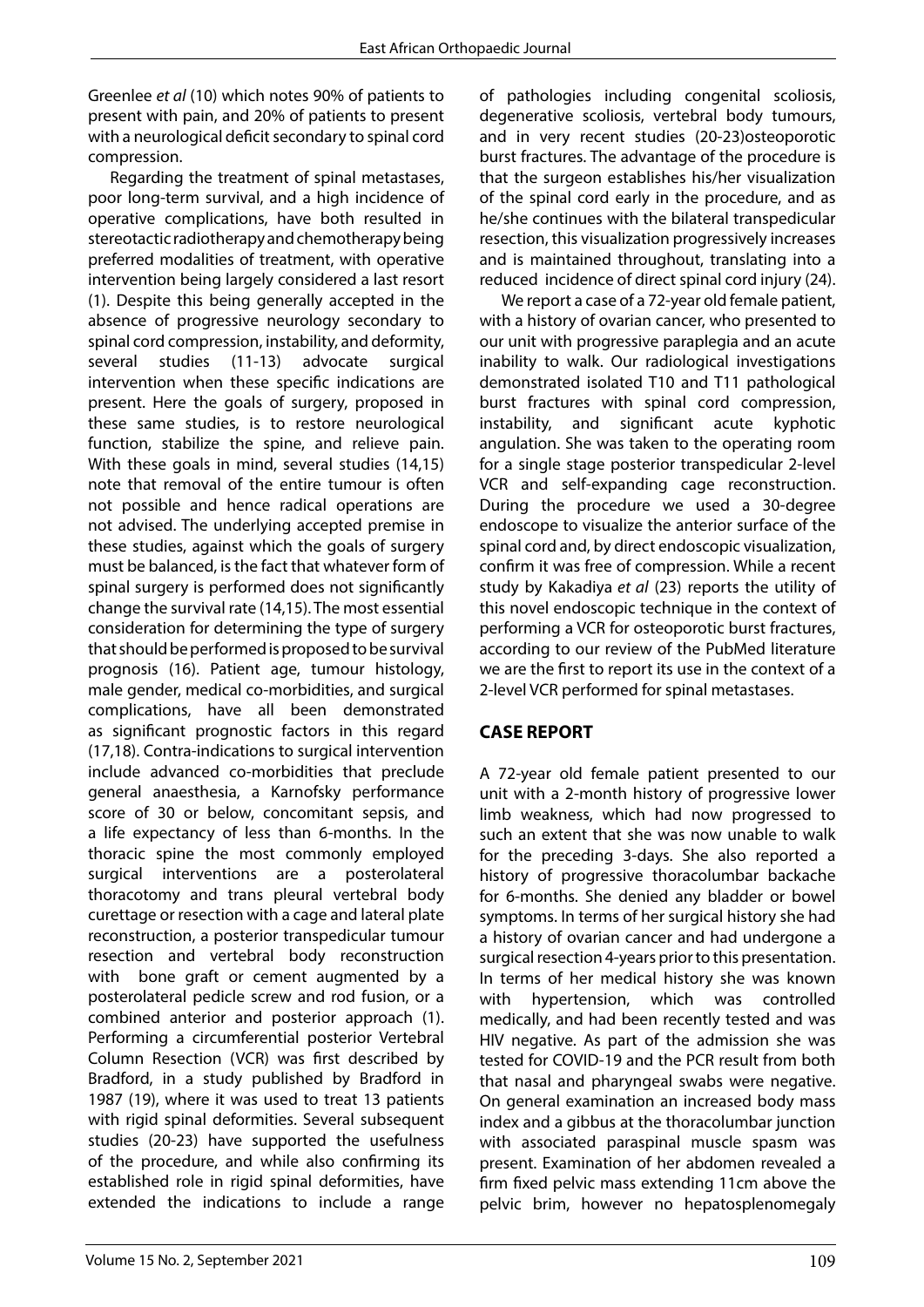Greenlee *et al* (10) which notes 90% of patients to present with pain, and 20% of patients to present with a neurological deficit secondary to spinal cord compression.

Regarding the treatment of spinal metastases, poor long-term survival, and a high incidence of operative complications, have both resulted in stereotactic radiotherapy and chemotherapy being preferred modalities of treatment, with operative intervention being largely considered a last resort (1). Despite this being generally accepted in the absence of progressive neurology secondary to spinal cord compression, instability, and deformity, several studies (11-13) advocate surgical intervention when these specific indications are present. Here the goals of surgery, proposed in these same studies, is to restore neurological function, stabilize the spine, and relieve pain. With these goals in mind, several studies (14,15) note that removal of the entire tumour is often not possible and hence radical operations are not advised. The underlying accepted premise in these studies, against which the goals of surgery must be balanced, is the fact that whatever form of spinal surgery is performed does not significantly change the survival rate (14,15). The most essential consideration for determining the type of surgery that should be performed is proposed to be survival prognosis (16). Patient age, tumour histology, male gender, medical co-morbidities, and surgical complications, have all been demonstrated as significant prognostic factors in this regard (17,18). Contra-indications to surgical intervention include advanced co-morbidities that preclude general anaesthesia, a Karnofsky performance score of 30 or below, concomitant sepsis, and a life expectancy of less than 6-months. In the thoracic spine the most commonly employed surgical interventions are a posterolateral thoracotomy and trans pleural vertebral body curettage or resection with a cage and lateral plate reconstruction, a posterior transpedicular tumour resection and vertebral body reconstruction with bone graft or cement augmented by a posterolateral pedicle screw and rod fusion, or a combined anterior and posterior approach (1). Performing a circumferential posterior Vertebral Column Resection (VCR) was first described by Bradford, in a study published by Bradford in 1987 (19), where it was used to treat 13 patients with rigid spinal deformities. Several subsequent studies (20-23) have supported the usefulness of the procedure, and while also confirming its established role in rigid spinal deformities, have extended the indications to include a range

of pathologies including congenital scoliosis, degenerative scoliosis, vertebral body tumours, and in very recent studies (20-23)osteoporotic burst fractures. The advantage of the procedure is that the surgeon establishes his/her visualization of the spinal cord early in the procedure, and as he/she continues with the bilateral transpedicular resection, this visualization progressively increases and is maintained throughout, translating into a reduced incidence of direct spinal cord injury (24).

We report a case of a 72-year old female patient, with a history of ovarian cancer, who presented to our unit with progressive paraplegia and an acute inability to walk. Our radiological investigations demonstrated isolated T10 and T11 pathological burst fractures with spinal cord compression, instability, and significant acute kyphotic angulation. She was taken to the operating room for a single stage posterior transpedicular 2-level VCR and self-expanding cage reconstruction. During the procedure we used a 30-degree endoscope to visualize the anterior surface of the spinal cord and, by direct endoscopic visualization, confirm it was free of compression. While a recent study by Kakadiya *et al* (23) reports the utility of this novel endoscopic technique in the context of performing a VCR for osteoporotic burst fractures, according to our review of the PubMed literature we are the first to report its use in the context of a 2-level VCR performed for spinal metastases.

### **CASE REPORT**

A 72-year old female patient presented to our unit with a 2-month history of progressive lower limb weakness, which had now progressed to such an extent that she was now unable to walk for the preceding 3-days. She also reported a history of progressive thoracolumbar backache for 6-months. She denied any bladder or bowel symptoms. In terms of her surgical history she had a history of ovarian cancer and had undergone a surgical resection 4-years prior to this presentation. In terms of her medical history she was known with hypertension, which was controlled medically, and had been recently tested and was HIV negative. As part of the admission she was tested for COVID-19 and the PCR result from both that nasal and pharyngeal swabs were negative. On general examination an increased body mass index and a gibbus at the thoracolumbar junction with associated paraspinal muscle spasm was present. Examination of her abdomen revealed a firm fixed pelvic mass extending 11cm above the pelvic brim, however no hepatosplenomegaly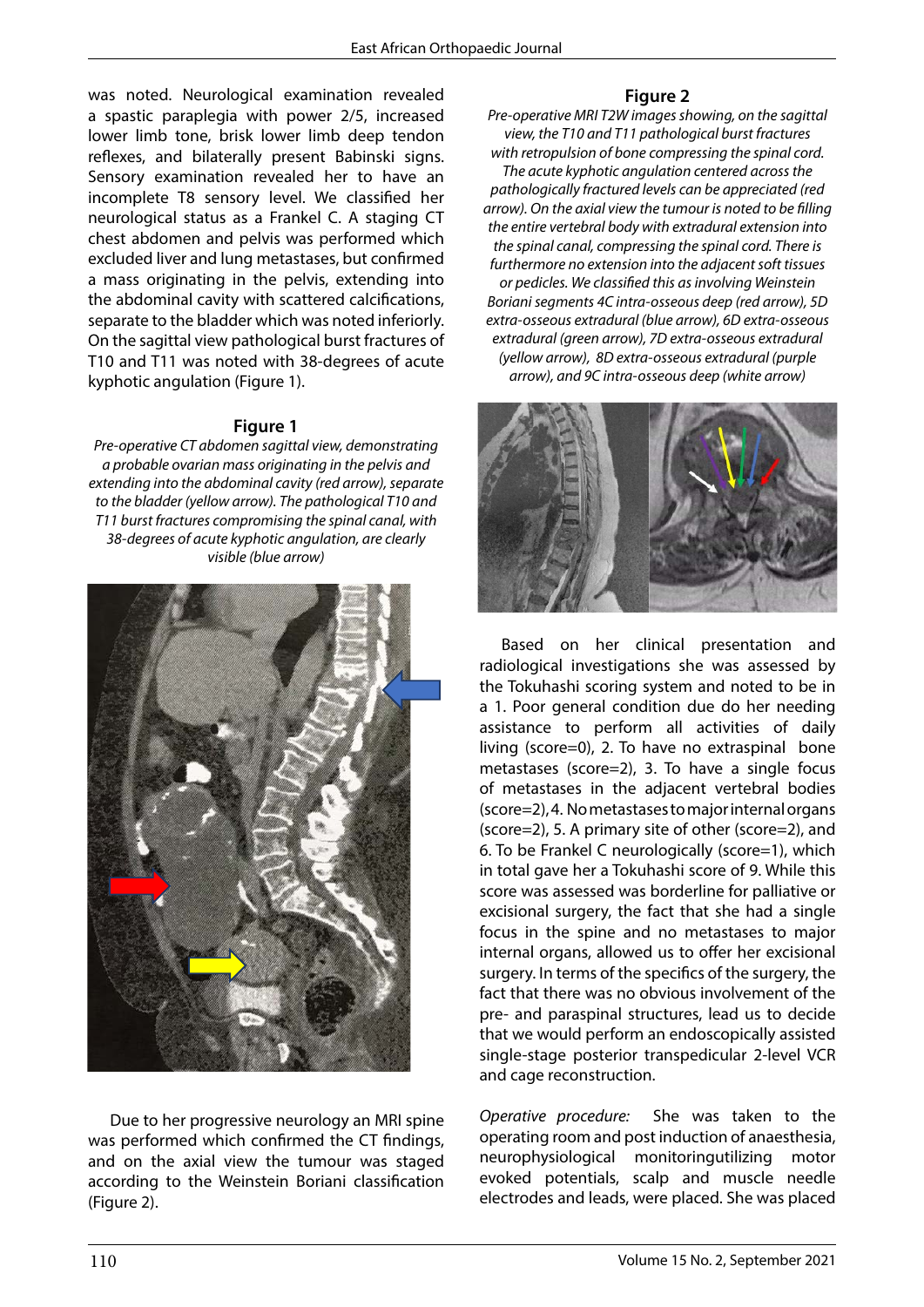was noted. Neurological examination revealed a spastic paraplegia with power 2/5, increased lower limb tone, brisk lower limb deep tendon reflexes, and bilaterally present Babinski signs. Sensory examination revealed her to have an incomplete T8 sensory level. We classified her neurological status as a Frankel C. A staging CT chest abdomen and pelvis was performed which excluded liver and lung metastases, but confirmed a mass originating in the pelvis, extending into the abdominal cavity with scattered calcifications, separate to the bladder which was noted inferiorly. On the sagittal view pathological burst fractures of T10 and T11 was noted with 38-degrees of acute kyphotic angulation (Figure 1).

#### **Figure 1**

*Pre-operative CT abdomen sagittal view, demonstrating a probable ovarian mass originating in the pelvis and extending into the abdominal cavity (red arrow), separate to the bladder (yellow arrow). The pathological T10 and T11 burst fractures compromising the spinal canal, with 38-degrees of acute kyphotic angulation, are clearly visible (blue arrow)*



Due to her progressive neurology an MRI spine and *Operative procedul*<br>was performed which confirmed the CT findings and operating room and was performed when committed the examinings, the was greated and on the axial view the tumour was staged are represented in and on the axial field the tambal has staged<br>according to the Weinstein Boriani classification was performed which confirmed the CT findings, (Figure 2).

## **Figure 2**

*Pre-operative MRI T2W images showing, on the sagittal view, the T10 and T11 pathological burst fractures with retropulsion of bone compressing the spinal cord. The acute kyphotic angulation centered across the pathologically fractured levels can be appreciated (red arrow). On the axial view the tumour is noted to be filling the entire vertebral body with extradural extension into the spinal canal, compressing the spinal cord. There is furthermore no extension into the adjacent soft tissues or pedicles. We classified this as involving Weinstein Boriani segments 4C intra-osseous deep (red arrow), 5D extra-osseous extradural (blue arrow), 6D extra-osseous extradural (green arrow), 7D extra-osseous extradural (yellow arrow), 8D extra-osseous extradural (purple arrow), and 9C intra-osseous deep (white arrow)* 



Based on her clinical presentation and radiological investigations she was assessed by the Tokuhashi scoring system and noted to be in a 1. Poor general condition due do her needing assistance to perform all activities of daily living (score=0), 2. To have no extraspinal bone metastases (score=2), 3. To have a single focus of metastases in the adjacent vertebral bodies (score=2), 4. No metastases to major internal organs (score=2), 5. A primary site of other (score=2), and 6. To be Frankel C neurologically (score=1), which in total gave her a Tokuhashi score of 9. While this score was assessed was borderline for palliative or excisional surgery, the fact that she had a single focus in the spine and no metastases to major internal organs, allowed us to offer her excisional surgery. In terms of the specifics of the surgery, the fact that there was no obvious involvement of the pre- and paraspinal structures, lead us to decide that we would perform an endoscopically assisted single-stage posterior transpedicular 2-level VCR and cage reconstruction.

*Operative procedure:* She was taken to the operating room and post induction of anaesthesia, neurophysiological monitoringutilizing motor evoked potentials, scalp and muscle needle electrodes and leads, were placed. She was placed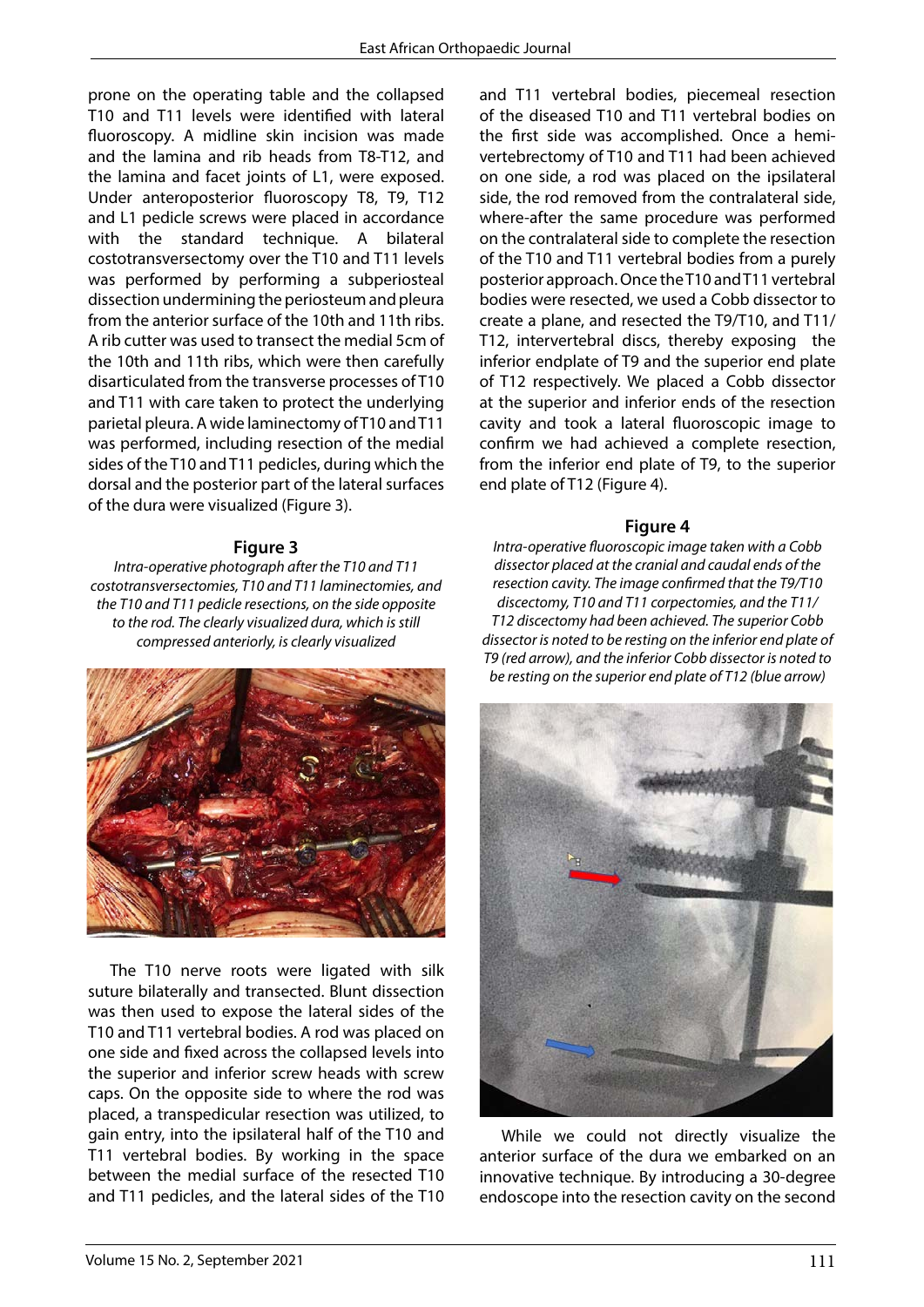prone on the operating table and the collapsed T10 and T11 levels were identified with lateral fluoroscopy. A midline skin incision was made and the lamina and rib heads from T8-T12, and the lamina and facet joints of L1, were exposed. Under anteroposterior fluoroscopy T8, T9, T12 and L1 pedicle screws were placed in accordance with the standard technique. A bilateral costotransversectomy over the T10 and T11 levels was performed by performing a subperiosteal dissection undermining the periosteum and pleura from the anterior surface of the 10th and 11th ribs. A rib cutter was used to transect the medial 5cm of the 10th and 11th ribs, which were then carefully disarticulated from the transverse processes of T10 and T11 with care taken to protect the underlying parietal pleura. A wide laminectomy of T10 and T11 was performed, including resection of the medial sides of the T10 and T11 pedicles, during which the dorsal and the posterior part of the lateral surfaces of the dura were visualized (Figure 3).

#### **Figure 3**

*Intra-operative photograph after the T10 and T11 costotransversectomies, T10 and T11 laminectomies, and the T10 and T11 pedicle resections, on the side opposite to the rod. The clearly visualized dura, which is still compressed anteriorly, is clearly visualized*



The T10 nerve roots were ligated with silk suture bilaterally and transected. Blunt dissection was then used to expose the lateral sides of the T10 and T11 vertebral bodies. A rod was placed on one side and fixed across the collapsed levels into the superior and inferior screw heads with screw caps. On the opposite side to where the rod was placed, a transpedicular resection was utilized, to gain entry, into the ipsilateral half of the T10 and T11 vertebral bodies. By working in the space between the medial surface of the resected T10 and T11 pedicles, and the lateral sides of the T10

the dura(Figure 5).

and T11 vertebral bodies, piecemeal resection of the diseased T10 and T11 vertebral bodies on the first side was accomplished. Once a hemivertebrectomy of T10 and T11 had been achieved on one side, a rod was placed on the ipsilateral side, the rod removed from the contralateral side, where-after the same procedure was performed on the contralateral side to complete the resection of the T10 and T11 vertebral bodies from a purely posterior approach. Once the T10 and T11 vertebral bodies were resected, we used a Cobb dissector to create a plane, and resected the T9/T10, and T11/ T12, intervertebral discs, thereby exposing the inferior endplate of T9 and the superior end plate of T12 respectively. We placed a Cobb dissector at the superior and inferior ends of the resection cavity and took a lateral fluoroscopic image to confirm we had achieved a complete resection, from the inferior end plate of T9, to the superior end plate of T12 (Figure 4).

#### **Figure 4**

*Intra-operative fluoroscopic image taken with a Cobb dissector placed at the cranial and caudal ends of the resection cavity. The image confirmed that the T9/T10 discectomy, T10 and T11 corpectomies, and the T11/ T12 discectomy had been achieved. The superior Cobb dissector is noted to be resting on the inferior end plate of T9 (red arrow), and the inferior Cobb dissector is noted to be resting on the superior end plate of T12 (blue arrow)*



of the resected T10 innovative technique. By introducing a 30-degree ral sides of the T10  $-$  endoscope into the resection cavity on the second While we could not directly visualize the anterior surface of the dura we embarked on an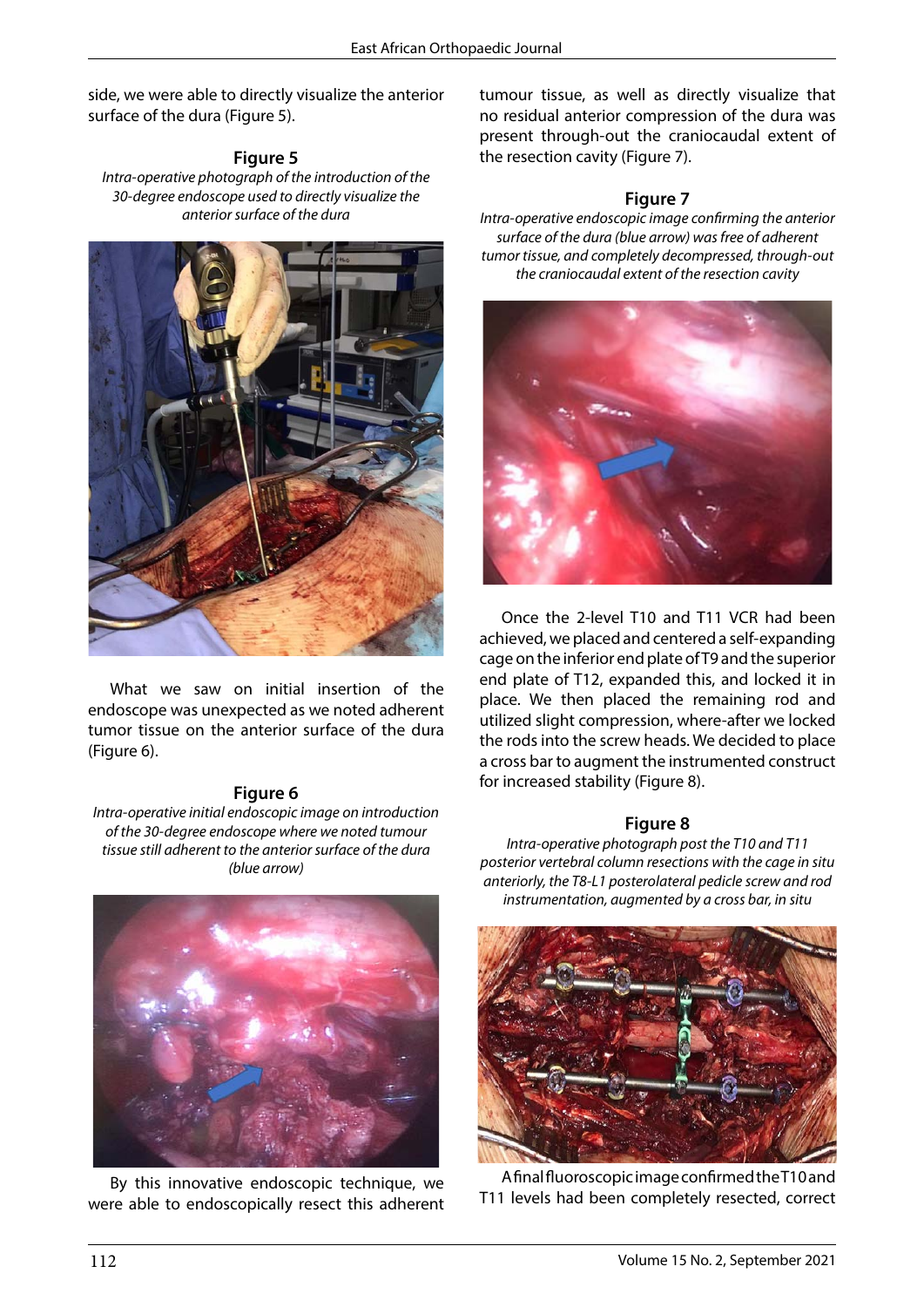side, we were able to directly visualize the anterior surface of the dura (Figure 5).

**Figure 5** *Intra-operative photograph of the introduction of the 30-degree endoscope used to directly visualize the anterior surface of the dura*



What we saw on initial insertion of the  $\frac{1}{n}$ endoscope was unexpected as we noted adherent proce tumor tissue on the anterior surface of the dura (Figure 6).

#### **Figure 6**

*Intra-operative initial endoscopic image on introduction of the 30-degree endoscope where we noted tumour tissue still adherent to the anterior surface of the dura where we noted tumour tissue still adherent to the anterior surface of the dura (blue arrow) (blue arrow)*



By this innovative endoscopic technique, we were able to endoscopically resect this adherent tumour tissue, as well as directly visualize that no residual anterior compression of the dura was present through-out the craniocaudal extent of the resection cavity (Figure 7).

#### **Figure 7**

*Intra-operative endoscopic image confirming the anterior surface of the dura (blue arrow) was free of adherent tumor tissue, and completely decompressed, through-out the craniocaudal extent of the resection cavity*



achieved, we placed and centered a self-expanding Once the 2-level T10 and T11 VCR had been cage on the inferior end plate of T9 and the superior end plate of T12, expanded this, and locked it in place. We then placed the remaining rod and utilized slight compression, where-after we locked the rods into the screw heads. We decided to place a cross bar to augment the instrumented construct for increased stability (Figure 8).

#### **Figure 8**

*Intra-operative photograph post the T10 and T11 posterior vertebral column resections with the cage in situ anteriorly, the T8-L1 posterolateral pedicle screw and rod instrumentation, augmented by a cross bar, in situ*



 $\epsilon$  final fluoroscopic image confirmed the T10 and T11  $\epsilon$ <sub>t</sub> T11 levels had been completely resected, correct A final fluoroscopic image confirmed the T10 and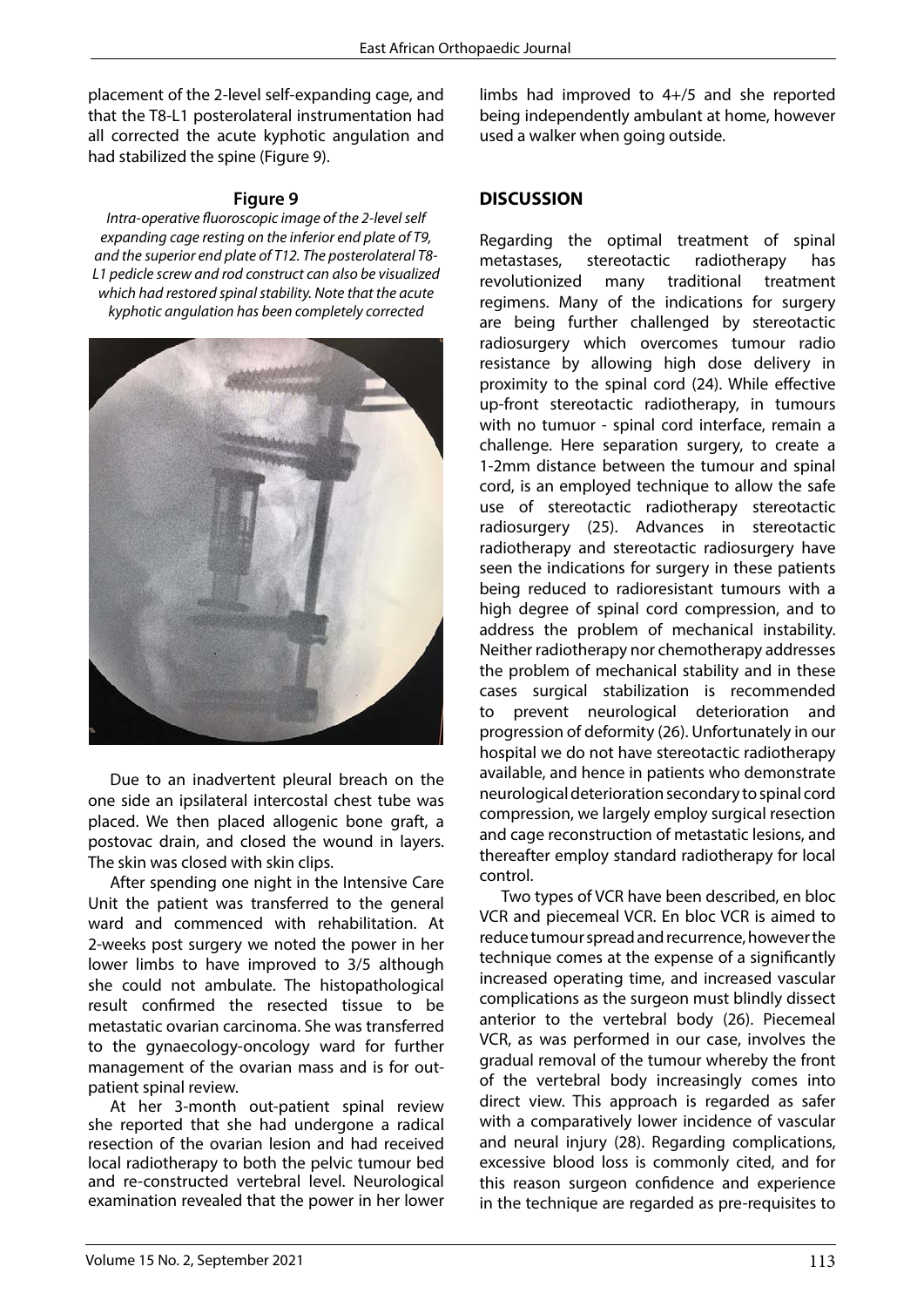placement of the 2-level self-expanding cage, and that the T8-L1 posterolateral instrumentation had all corrected the acute kyphotic angulation and had stabilized the spine (Figure 9).

#### **Figure 9**

*Intra-operative fluoroscopic image of the 2-level self expanding cage resting on the inferior end plate of T9, and the superior end plate of T12. The posterolateral T8- L1 pedicle screw and rod construct can also be visualized which had restored spinal stability. Note that the acute kyphotic angulation has been completely corrected*



one side an ipsilateral intercostal chest tube was Due to an inadvertent pleural breach on the placed. We then placed allogenic bone graft, a postovac drain, and closed the wound in layers. The skin was closed with skin clips.

> After spending one night in the Intensive Care Unit the patient was transferred to the general ward and commenced with rehabilitation. At 2-weeks post surgery we noted the power in her lower limbs to have improved to 3/5 although she could not ambulate. The histopathological result confirmed the resected tissue to be metastatic ovarian carcinoma. She was transferred to the gynaecology-oncology ward for further management of the ovarian mass and is for outpatient spinal review.

> At her 3-month out-patient spinal review she reported that she had undergone a radical resection of the ovarian lesion and had received local radiotherapy to both the pelvic tumour bed and re-constructed vertebral level. Neurological examination revealed that the power in her lower

limbs had improved to 4+/5 and she reported being independently ambulant at home, however used a walker when going outside.

### **DISCUSSION**

Regarding the optimal treatment of spinal metastases, stereotactic radiotherapy has revolutionized many traditional treatment regimens. Many of the indications for surgery are being further challenged by stereotactic radiosurgery which overcomes tumour radio resistance by allowing high dose delivery in proximity to the spinal cord (24). While effective up-front stereotactic radiotherapy, in tumours with no tumuor - spinal cord interface, remain a challenge. Here separation surgery, to create a 1-2mm distance between the tumour and spinal cord, is an employed technique to allow the safe use of stereotactic radiotherapy stereotactic radiosurgery (25). Advances in stereotactic radiotherapy and stereotactic radiosurgery have seen the indications for surgery in these patients being reduced to radioresistant tumours with a high degree of spinal cord compression, and to address the problem of mechanical instability. Neither radiotherapy nor chemotherapy addresses the problem of mechanical stability and in these cases surgical stabilization is recommended to prevent neurological deterioration and progression of deformity (26). Unfortunately in our hospital we do not have stereotactic radiotherapy available, and hence in patients who demonstrate neurological deterioration secondary to spinal cord compression, we largely employ surgical resection and cage reconstruction of metastatic lesions, and thereafter employ standard radiotherapy for local control.

Two types of VCR have been described, en bloc VCR and piecemeal VCR. En bloc VCR is aimed to reduce tumour spread and recurrence, however the technique comes at the expense of a significantly increased operating time, and increased vascular complications as the surgeon must blindly dissect anterior to the vertebral body (26). Piecemeal VCR, as was performed in our case, involves the gradual removal of the tumour whereby the front of the vertebral body increasingly comes into direct view. This approach is regarded as safer with a comparatively lower incidence of vascular and neural injury (28). Regarding complications, excessive blood loss is commonly cited, and for this reason surgeon confidence and experience in the technique are regarded as pre-requisites to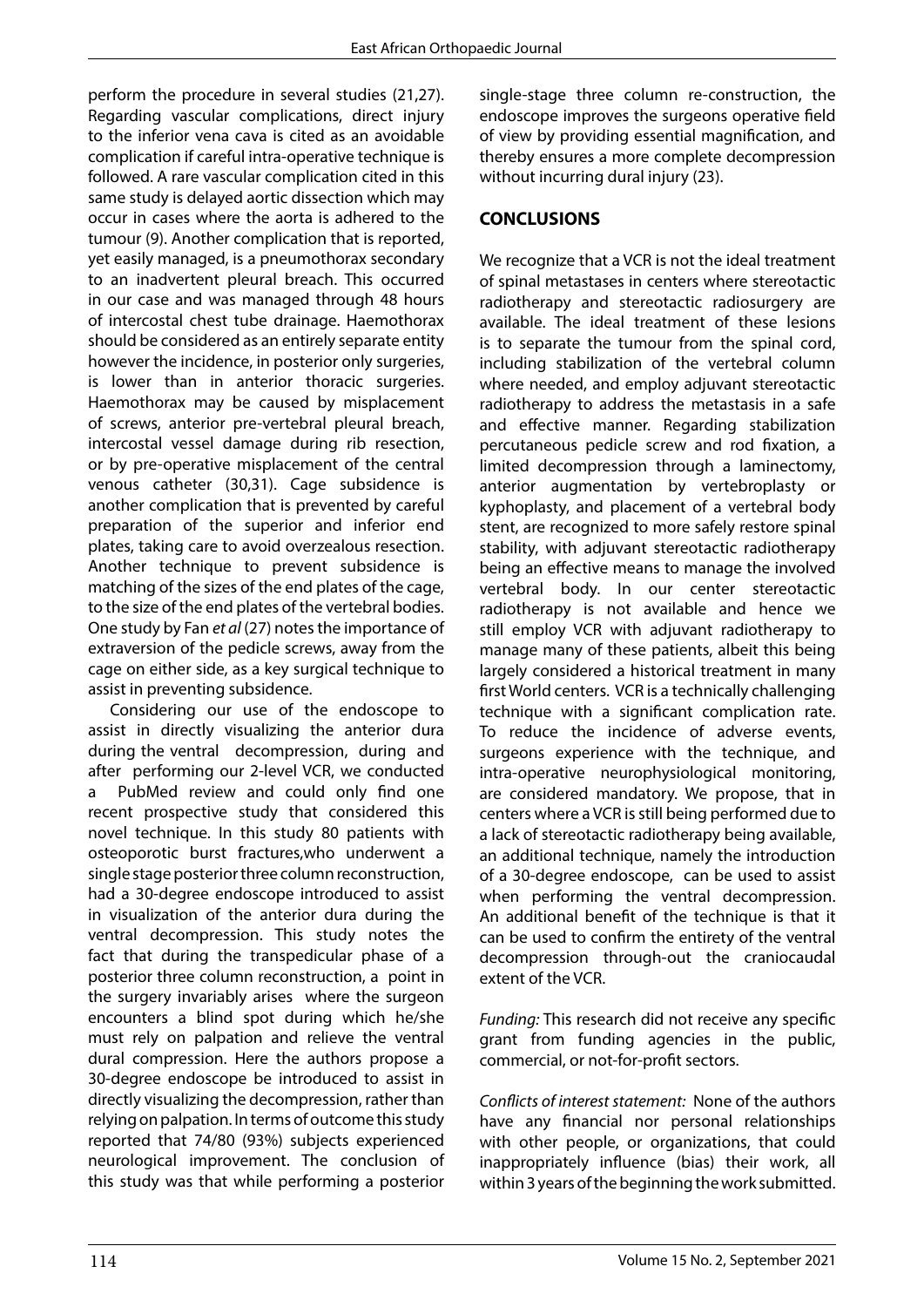perform the procedure in several studies (21,27). Regarding vascular complications, direct injury to the inferior vena cava is cited as an avoidable complication if careful intra-operative technique is followed. A rare vascular complication cited in this same study is delayed aortic dissection which may occur in cases where the aorta is adhered to the tumour (9). Another complication that is reported, yet easily managed, is a pneumothorax secondary to an inadvertent pleural breach. This occurred in our case and was managed through 48 hours of intercostal chest tube drainage. Haemothorax should be considered as an entirely separate entity however the incidence, in posterior only surgeries, is lower than in anterior thoracic surgeries. Haemothorax may be caused by misplacement of screws, anterior pre-vertebral pleural breach, intercostal vessel damage during rib resection, or by pre-operative misplacement of the central venous catheter (30,31). Cage subsidence is another complication that is prevented by careful preparation of the superior and inferior end plates, taking care to avoid overzealous resection. Another technique to prevent subsidence is matching of the sizes of the end plates of the cage, to the size of the end plates of the vertebral bodies. One study by Fan *et al* (27) notes the importance of extraversion of the pedicle screws, away from the cage on either side, as a key surgical technique to assist in preventing subsidence.

Considering our use of the endoscope to assist in directly visualizing the anterior dura during the ventral decompression, during and after performing our 2-level VCR, we conducted a PubMed review and could only find one recent prospective study that considered this novel technique. In this study 80 patients with osteoporotic burst fractures,who underwent a single stage posterior three column reconstruction, had a 30-degree endoscope introduced to assist in visualization of the anterior dura during the ventral decompression. This study notes the fact that during the transpedicular phase of a posterior three column reconstruction, a point in the surgery invariably arises where the surgeon encounters a blind spot during which he/she must rely on palpation and relieve the ventral dural compression. Here the authors propose a 30-degree endoscope be introduced to assist in directly visualizing the decompression, rather than relying on palpation. In terms of outcome this study reported that 74/80 (93%) subjects experienced neurological improvement. The conclusion of this study was that while performing a posterior single-stage three column re-construction, the endoscope improves the surgeons operative field of view by providing essential magnification, and thereby ensures a more complete decompression without incurring dural injury (23).

# **CONCLUSIONS**

We recognize that a VCR is not the ideal treatment of spinal metastases in centers where stereotactic radiotherapy and stereotactic radiosurgery are available. The ideal treatment of these lesions is to separate the tumour from the spinal cord, including stabilization of the vertebral column where needed, and employ adjuvant stereotactic radiotherapy to address the metastasis in a safe and effective manner. Regarding stabilization percutaneous pedicle screw and rod fixation, a limited decompression through a laminectomy, anterior augmentation by vertebroplasty or kyphoplasty, and placement of a vertebral body stent, are recognized to more safely restore spinal stability, with adjuvant stereotactic radiotherapy being an effective means to manage the involved vertebral body. In our center stereotactic radiotherapy is not available and hence we still employ VCR with adjuvant radiotherapy to manage many of these patients, albeit this being largely considered a historical treatment in many first World centers. VCR is a technically challenging technique with a significant complication rate. To reduce the incidence of adverse events, surgeons experience with the technique, and intra-operative neurophysiological monitoring, are considered mandatory. We propose, that in centers where a VCR is still being performed due to a lack of stereotactic radiotherapy being available, an additional technique, namely the introduction of a 30-degree endoscope, can be used to assist when performing the ventral decompression. An additional benefit of the technique is that it can be used to confirm the entirety of the ventral decompression through-out the craniocaudal extent of the VCR.

*Funding:* This research did not receive any specific grant from funding agencies in the public, commercial, or not-for-profit sectors.

*Conflicts of interest statement:* None of the authors have any financial nor personal relationships with other people, or organizations, that could inappropriately influence (bias) their work, all within 3 years of the beginning the work submitted.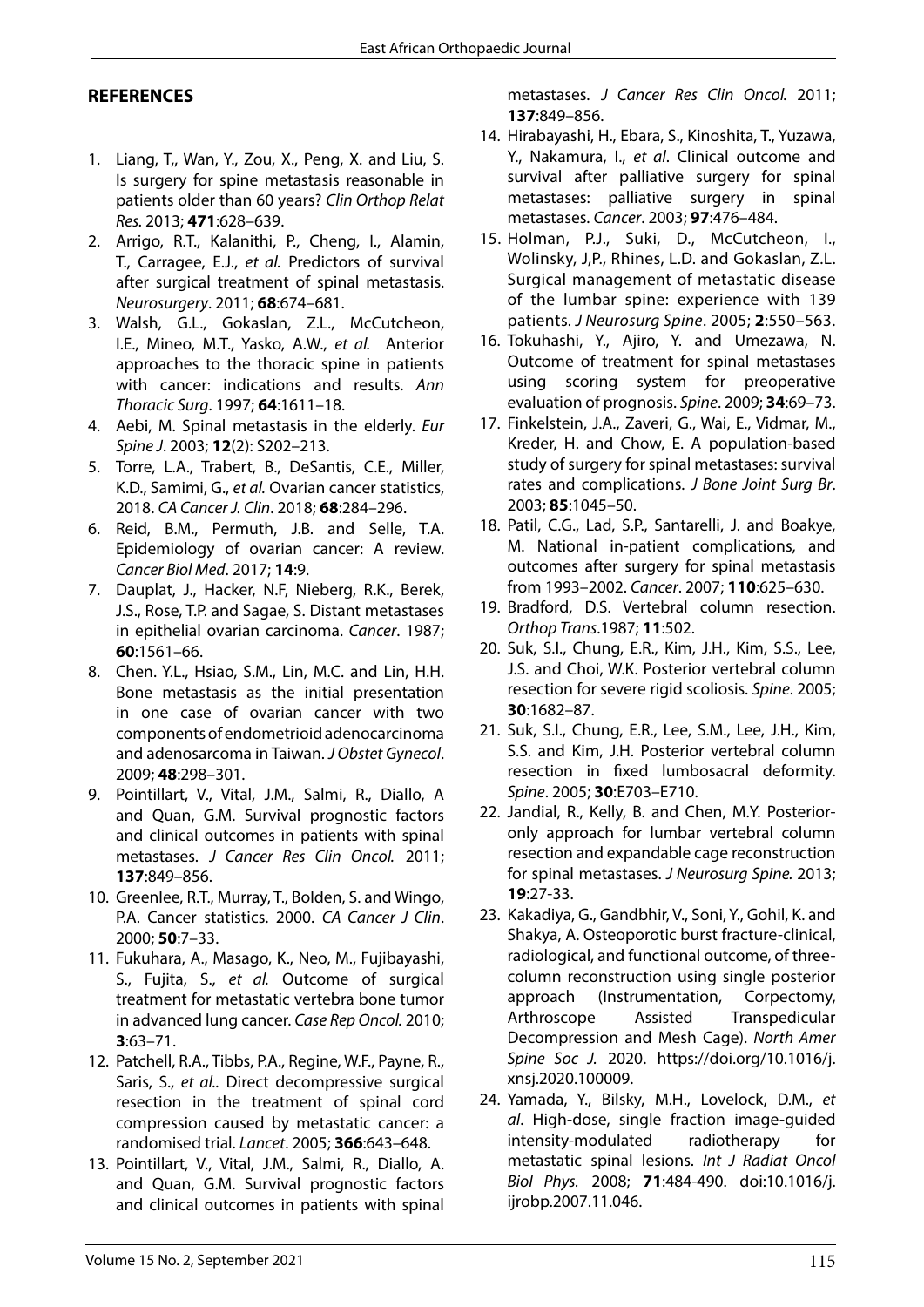### **REFERENCES**

- 1. Liang, T,, Wan, Y., Zou, X., Peng, X. and Liu, S. Is surgery for spine metastasis reasonable in patients older than 60 years? *Clin Orthop Relat Res.* 2013; **471**:628–639.
- 2. Arrigo, R.T., Kalanithi, P., Cheng, I., Alamin, T., Carragee, E.J., *et al.* Predictors of survival after surgical treatment of spinal metastasis. *Neurosurgery*. 2011; **68**:674–681.
- 3. Walsh, G.L., Gokaslan, Z.L., McCutcheon, I.E., Mineo, M.T., Yasko, A.W., *et al.* Anterior approaches to the thoracic spine in patients with cancer: indications and results. *Ann Thoracic Surg*. 1997; **64**:1611–18.
- 4. Aebi, M. Spinal metastasis in the elderly. *Eur Spine J*. 2003; **12**(2): S202–213.
- 5. Torre, L.A., Trabert, B., DeSantis, C.E., Miller, K.D., Samimi, G., *et al.* Ovarian cancer statistics, 2018. *CA Cancer J. Clin*. 2018; **68**:284–296.
- 6. Reid, B.M., Permuth, J.B. and Selle, T.A. Epidemiology of ovarian cancer: A review. *Cancer Biol Med*. 2017; **14**:9.
- 7. Dauplat, J., Hacker, N.F, Nieberg, R.K., Berek, J.S., Rose, T.P. and Sagae, S. Distant metastases in epithelial ovarian carcinoma. *Cancer*. 1987; **60**:1561–66.
- 8. Chen. Y.L., Hsiao, S.M., Lin, M.C. and Lin, H.H. Bone metastasis as the initial presentation in one case of ovarian cancer with two components of endometrioid adenocarcinoma and adenosarcoma in Taiwan. *J Obstet Gynecol*. 2009; **48**:298–301.
- 9. Pointillart, V., Vital, J.M., Salmi, R., Diallo, A and Quan, G.M. Survival prognostic factors and clinical outcomes in patients with spinal metastases. *J Cancer Res Clin Oncol.* 2011; **137**:849–856.
- 10. Greenlee, R.T., Murray, T., Bolden, S. and Wingo, P.A. Cancer statistics. 2000. *CA Cancer J Clin*. 2000; **50**:7–33.
- 11. Fukuhara, A., Masago, K., Neo, M., Fujibayashi, S., Fujita, S., *et al.* Outcome of surgical treatment for metastatic vertebra bone tumor in advanced lung cancer. *Case Rep Oncol.* 2010; **3**:63–71.
- 12. Patchell, R.A., Tibbs, P.A., Regine, W.F., Payne, R., Saris, S., *et al..* Direct decompressive surgical resection in the treatment of spinal cord compression caused by metastatic cancer: a randomised trial. *Lancet*. 2005; **366**:643–648.
- 13. Pointillart, V., Vital, J.M., Salmi, R., Diallo, A. and Quan, G.M. Survival prognostic factors and clinical outcomes in patients with spinal

metastases. *J Cancer Res Clin Oncol.* 2011; **137**:849–856.

- 14. Hirabayashi, H., Ebara, S., Kinoshita, T., Yuzawa, Y., Nakamura, I., *et al*. Clinical outcome and survival after palliative surgery for spinal metastases: palliative surgery in spinal metastases. *Cancer*. 2003; **97**:476–484.
- 15. Holman, P.J., Suki, D., McCutcheon, I., Wolinsky, J,P., Rhines, L.D. and Gokaslan, Z.L. Surgical management of metastatic disease of the lumbar spine: experience with 139 patients. *J Neurosurg Spine*. 2005; **2**:550–563.
- 16. Tokuhashi, Y., Ajiro, Y. and Umezawa, N. Outcome of treatment for spinal metastases using scoring system for preoperative evaluation of prognosis. *Spine*. 2009; **34**:69–73.
- 17. Finkelstein, J.A., Zaveri, G., Wai, E., Vidmar, M., Kreder, H. and Chow, E. A population-based study of surgery for spinal metastases: survival rates and complications. *J Bone Joint Surg Br*. 2003; **85**:1045–50.
- 18. Patil, C.G., Lad, S.P., Santarelli, J. and Boakye, M. National in-patient complications, and outcomes after surgery for spinal metastasis from 1993–2002. *Cancer*. 2007; **110**:625–630.
- 19. Bradford, D.S. Vertebral column resection. *Orthop Trans*.1987; **11**:502.
- 20. Suk, S.I., Chung, E.R., Kim, J.H., Kim, S.S., Lee, J.S. and Choi, W.K. Posterior vertebral column resection for severe rigid scoliosis. *Spine*. 2005; **30**:1682–87.
- 21. Suk, S.I., Chung, E.R., Lee, S.M., Lee, J.H., Kim, S.S. and Kim, J.H. Posterior vertebral column resection in fixed lumbosacral deformity. *Spine*. 2005; **30**:E703–E710.
- 22. Jandial, R., Kelly, B. and Chen, M.Y. Posterioronly approach for lumbar vertebral column resection and expandable cage reconstruction for spinal metastases. *J Neurosurg Spine.* 2013; **19**:27-33.
- 23. Kakadiya, G., Gandbhir, V., Soni, Y., Gohil, K. and Shakya, A. Osteoporotic burst fracture-clinical, radiological, and functional outcome, of threecolumn reconstruction using single posterior approach (Instrumentation, Corpectomy, Arthroscope Assisted Transpedicular Decompression and Mesh Cage). *North Amer Spine Soc J.* 2020. https://doi.org/10.1016/j. xnsj.2020.100009.
- 24. Yamada, Y., Bilsky, M.H., Lovelock, D.M., *et al*. High-dose, single fraction image-guided intensity-modulated radiotherapy for metastatic spinal lesions. *Int J Radiat Oncol Biol Phys.* 2008; **71**:484-490. doi:10.1016/j. ijrobp.2007.11.046.